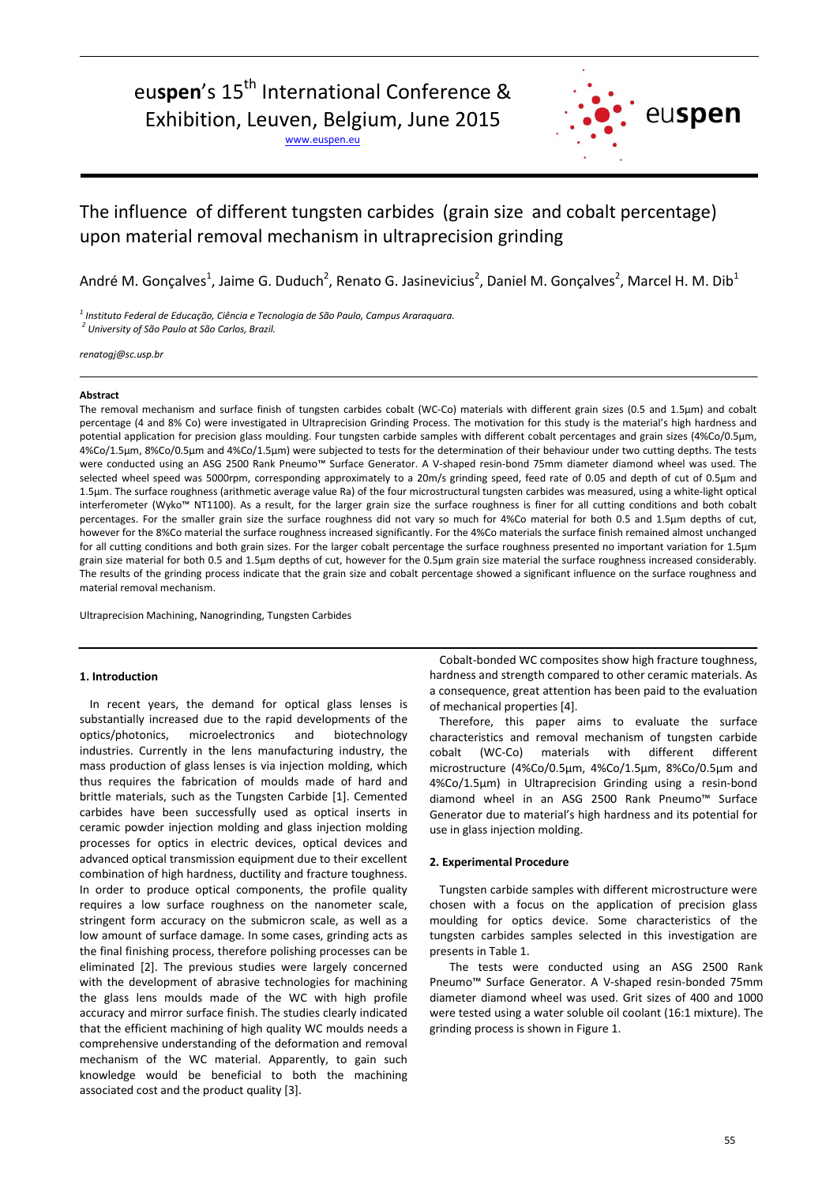# euspen's 15<sup>th</sup> International Conference & Exhibition, Leuven, Belgium, June 2015

www.euspen.eu



# The influence of different tungsten carbides (grain size and cobalt percentage) upon material removal mechanism in ultraprecision grinding

André M. Gonçalves<sup>1</sup>, Jaime G. Duduch<sup>2</sup>, Renato G. Jasinevicius<sup>2</sup>, Daniel M. Gonçalves<sup>2</sup>, Marcel H. M. Dib<sup>1</sup>

*1 Instituto Federal de Educação, Ciência e Tecnologia de São Paulo, Campus Araraquara. <sup>2</sup> University of São Paulo at São Carlos, Brazil.*

*renatogj@sc.usp.br*

#### **Abstract**

The removal mechanism and surface finish of tungsten carbides cobalt (WC-Co) materials with different grain sizes (0.5 and 1.5µm) and cobalt percentage (4 and 8% Co) were investigated in Ultraprecision Grinding Process. The motivation for this study is the material's high hardness and potential application for precision glass moulding. Four tungsten carbide samples with different cobalt percentages and grain sizes (4%Co/0.5µm, 4%Co/1.5µm, 8%Co/0.5µm and 4%Co/1.5µm) were subjected to tests for the determination of their behaviour under two cutting depths. The tests were conducted using an ASG 2500 Rank Pneumo™ Surface Generator. A V-shaped resin-bond 75mm diameter diamond wheel was used. The selected wheel speed was 5000rpm, corresponding approximately to a 20m/s grinding speed, feed rate of 0.05 and depth of cut of 0.5µm and 1.5µm. The surface roughness (arithmetic average value Ra) of the four microstructural tungsten carbides was measured, using a white-light optical interferometer (Wyko™ NT1100). As a result, for the larger grain size the surface roughness is finer for all cutting conditions and both cobalt percentages. For the smaller grain size the surface roughness did not vary so much for 4%Co material for both 0.5 and 1.5µm depths of cut, however for the 8%Co material the surface roughness increased significantly. For the 4%Co materials the surface finish remained almost unchanged for all cutting conditions and both grain sizes. For the larger cobalt percentage the surface roughness presented no important variation for 1.5µm grain size material for both 0.5 and 1.5µm depths of cut, however for the 0.5µm grain size material the surface roughness increased considerably. The results of the grinding process indicate that the grain size and cobalt percentage showed a significant influence on the surface roughness and material removal mechanism.

Ultraprecision Machining, Nanogrinding, Tungsten Carbides

### **1. Introduction**

In recent years, the demand for optical glass lenses is substantially increased due to the rapid developments of the optics/photonics, microelectronics and biotechnology industries. Currently in the lens manufacturing industry, the mass production of glass lenses is via injection molding, which thus requires the fabrication of moulds made of hard and brittle materials, such as the Tungsten Carbide [1]. Cemented carbides have been successfully used as optical inserts in ceramic powder injection molding and glass injection molding processes for optics in electric devices, optical devices and advanced optical transmission equipment due to their excellent combination of high hardness, ductility and fracture toughness. In order to produce optical components, the profile quality requires a low surface roughness on the nanometer scale, stringent form accuracy on the submicron scale, as well as a low amount of surface damage. In some cases, grinding acts as the final finishing process, therefore polishing processes can be eliminated [2]. The previous studies were largely concerned with the development of abrasive technologies for machining the glass lens moulds made of the WC with high profile accuracy and mirror surface finish. The studies clearly indicated that the efficient machining of high quality WC moulds needs a comprehensive understanding of the deformation and removal mechanism of the WC material. Apparently, to gain such knowledge would be beneficial to both the machining associated cost and the product quality [3].

Cobalt-bonded WC composites show high fracture toughness, hardness and strength compared to other ceramic materials. As a consequence, great attention has been paid to the evaluation of mechanical properties [4].

Therefore, this paper aims to evaluate the surface characteristics and removal mechanism of tungsten carbide cobalt (WC-Co) materials with different different microstructure (4%Co/0.5µm, 4%Co/1.5µm, 8%Co/0.5µm and 4%Co/1.5µm) in Ultraprecision Grinding using a resin-bond diamond wheel in an ASG 2500 Rank Pneumo™ Surface Generator due to material's high hardness and its potential for use in glass injection molding.

#### **2. Experimental Procedure**

Tungsten carbide samples with different microstructure were chosen with a focus on the application of precision glass moulding for optics device. Some characteristics of the tungsten carbides samples selected in this investigation are presents in Table 1.

The tests were conducted using an ASG 2500 Rank Pneumo™ Surface Generator. A V-shaped resin-bonded 75mm diameter diamond wheel was used. Grit sizes of 400 and 1000 were tested using a water soluble oil coolant (16:1 mixture). The grinding process is shown in Figure 1.